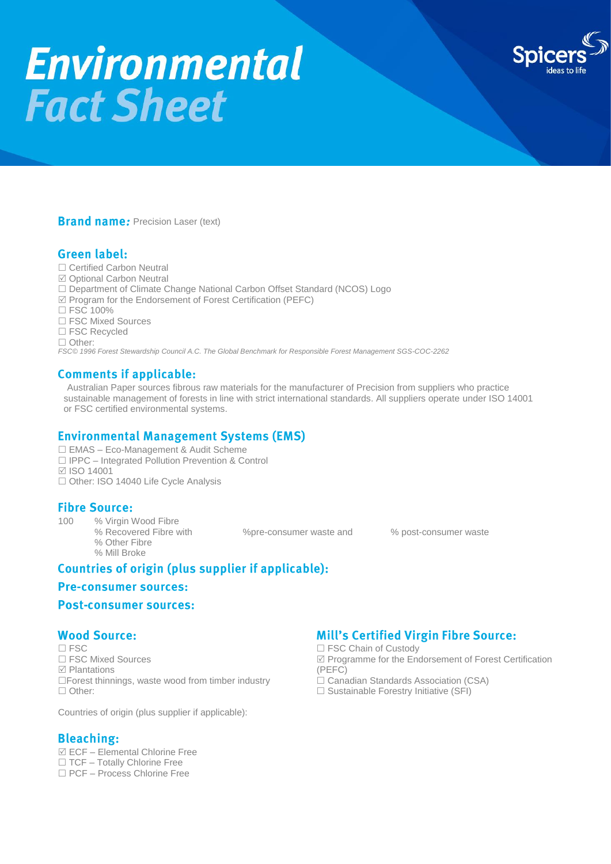# **Environmental Fact Sheet**



#### **Brand name: Precision Laser (text)**

## **Green label:**

- □ Certified Carbon Neutral
- Optional Carbon Neutral
- □ Department of Climate Change National Carbon Offset Standard (NCOS) Logo
- $\boxtimes$  Program for the Endorsement of Forest Certification (PEFC)
- □ FSC 100%
- □ FSC Mixed Sources
- □ FSC Recycled
- □ Other:

*FSC© 1996 Forest Stewardship Council A.C. The Global Benchmark for Responsible Forest Management SGS-COC-2262*

#### **Comments if applicable:**

Australian Paper sources fibrous raw materials for the manufacturer of Precision from suppliers who practice sustainable management of forests in line with strict international standards. All suppliers operate under ISO 14001 or FSC certified environmental systems.

## **Environmental Management Systems (EMS)**

- EMAS Eco-Management & Audit Scheme
- □ IPPC Integrated Pollution Prevention & Control
- ISO 14001
- □ Other: ISO 14040 Life Cycle Analysis

#### **Fibre Source:**

100 % Virgin Wood Fibre % Recovered Fibre with  $\%$  pre-consumer waste and  $\%$  post-consumer waste % Other Fibre % Mill Broke

# Countries of origin (plus supplier if applicable):

#### **Pre-consumer sources:**

#### **Post-consumer sources:**

#### **Wood Source:**

 $\Box$  FSC Chain of Custody □ FSC Mixed Sources <br> **Programme for the Endorsement of Forest Certification**<br>
(PEFC)  $\Box$  Plantations<br>  $\Box$  Plantations waste wood from timber industry  $\Box$  Canadian Standards Association (CSA)  $\Box$  Forest thinnings, waste wood from timber industry  $\Box$  Other:  $\Box$  Other:  $\Box$  Other:  $\Box$  Sustainable Forestry Initiative (SFI)

Countries of origin (plus supplier if applicable):

#### **Bleaching:**

 $\overline{\boxtimes}$  ECF – Elemental Chlorine Free  $\Box$  TCF – Totally Chlorine Free PCF – Process Chlorine Free

## **Mill's Certified Virgin Fibre Source:**

- 
- 
-